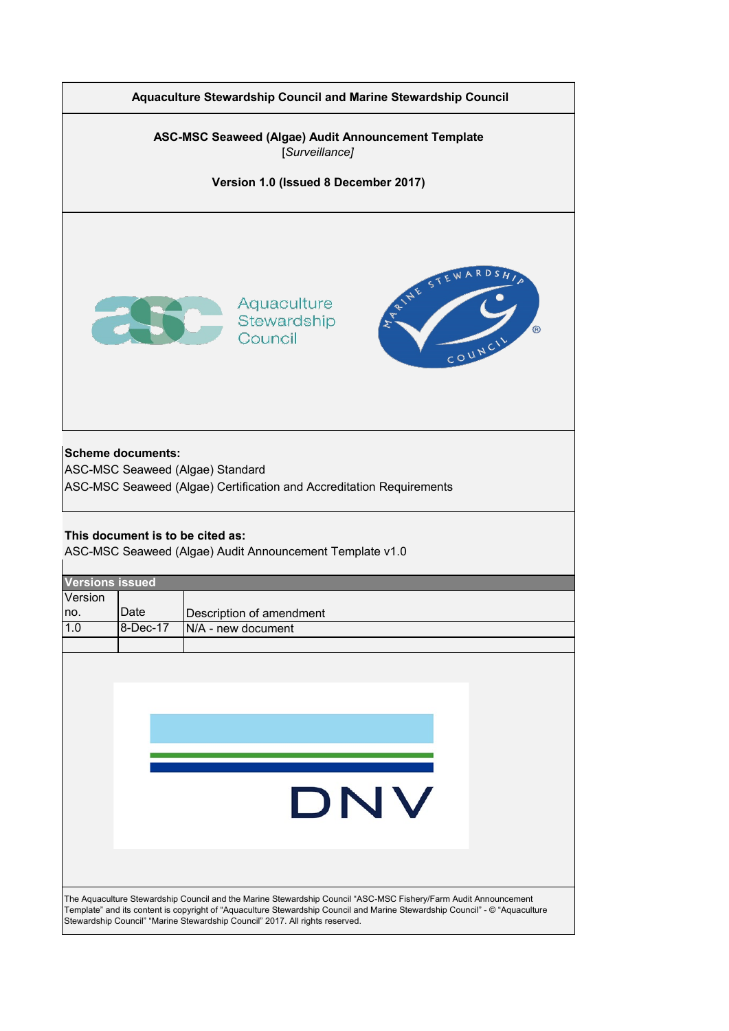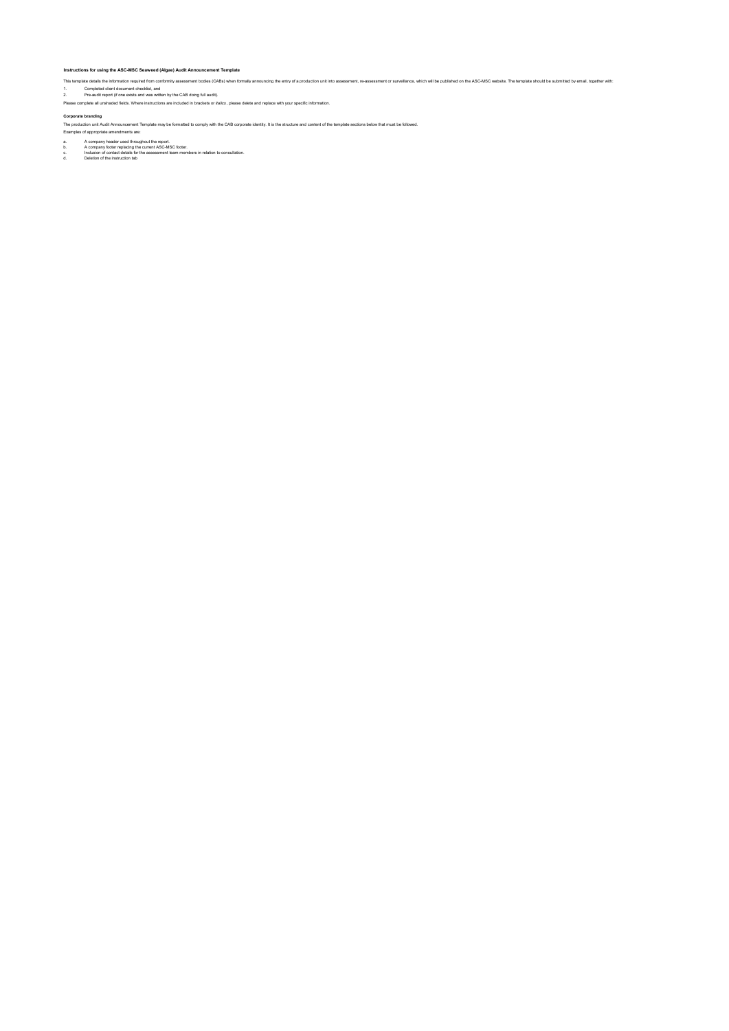#### **Instructions for using the ASC-MSC Seaweed (Algae) Audit Announcement Template**

This temolate details the information required from conformly assessment bodies (CABs) when formally anouncino the entry of a production unit into assessment re-assessment or survelliance, which will be published on the AS

- 
- 

#### **Corporate branding**

The production unit Audit Announcement Template may be formatted to comply with the CAB corporate leastly. It is the structure and content of the template sections below that must be followed.<br>- A company header used throu

- 
- 
-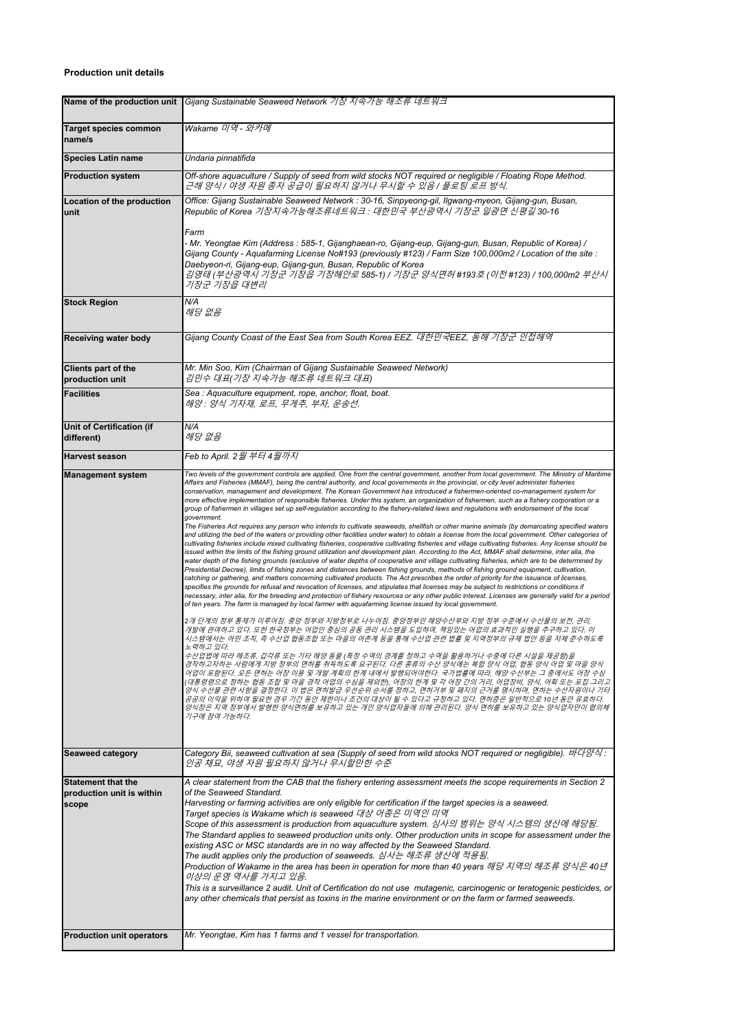# **Production unit details**

| Name of the production unit                                     | Gijang Sustainable Seaweed Network 기장 지속가능 해조류 네트워크                                                                                                                                                                                                                                                                                                                                                                                                                                                                                                                                                                                                                                                                                                                                                                                                                                                                                                                                                                                                                                                                                                                                                                                                                                                                                                                                                                                                                                                                                                                                                                                                                                                                                                                                                                                                                                                                                                                                                                                                                                                                                                                                                                                                                                                                                                                                                                                                                                                                                                                                                                                                                                                                                                                                                                                                                                                                                                                                                                                                                      |  |
|-----------------------------------------------------------------|--------------------------------------------------------------------------------------------------------------------------------------------------------------------------------------------------------------------------------------------------------------------------------------------------------------------------------------------------------------------------------------------------------------------------------------------------------------------------------------------------------------------------------------------------------------------------------------------------------------------------------------------------------------------------------------------------------------------------------------------------------------------------------------------------------------------------------------------------------------------------------------------------------------------------------------------------------------------------------------------------------------------------------------------------------------------------------------------------------------------------------------------------------------------------------------------------------------------------------------------------------------------------------------------------------------------------------------------------------------------------------------------------------------------------------------------------------------------------------------------------------------------------------------------------------------------------------------------------------------------------------------------------------------------------------------------------------------------------------------------------------------------------------------------------------------------------------------------------------------------------------------------------------------------------------------------------------------------------------------------------------------------------------------------------------------------------------------------------------------------------------------------------------------------------------------------------------------------------------------------------------------------------------------------------------------------------------------------------------------------------------------------------------------------------------------------------------------------------------------------------------------------------------------------------------------------------------------------------------------------------------------------------------------------------------------------------------------------------------------------------------------------------------------------------------------------------------------------------------------------------------------------------------------------------------------------------------------------------------------------------------------------------------------------------------------------------|--|
| <b>Target species common</b><br>name/s                          | Wakame 미역 - 와카메                                                                                                                                                                                                                                                                                                                                                                                                                                                                                                                                                                                                                                                                                                                                                                                                                                                                                                                                                                                                                                                                                                                                                                                                                                                                                                                                                                                                                                                                                                                                                                                                                                                                                                                                                                                                                                                                                                                                                                                                                                                                                                                                                                                                                                                                                                                                                                                                                                                                                                                                                                                                                                                                                                                                                                                                                                                                                                                                                                                                                                                          |  |
| <b>Species Latin name</b>                                       | Undaria pinnatifida                                                                                                                                                                                                                                                                                                                                                                                                                                                                                                                                                                                                                                                                                                                                                                                                                                                                                                                                                                                                                                                                                                                                                                                                                                                                                                                                                                                                                                                                                                                                                                                                                                                                                                                                                                                                                                                                                                                                                                                                                                                                                                                                                                                                                                                                                                                                                                                                                                                                                                                                                                                                                                                                                                                                                                                                                                                                                                                                                                                                                                                      |  |
| <b>Production system</b>                                        | Off-shore aquaculture / Supply of seed from wild stocks NOT required or negligible / Floating Rope Method.<br>근해 양식 / 야생 자원 종자 공급이 필요하지 않거나 무시할 수 있음 / 플로팅 로프 방식.                                                                                                                                                                                                                                                                                                                                                                                                                                                                                                                                                                                                                                                                                                                                                                                                                                                                                                                                                                                                                                                                                                                                                                                                                                                                                                                                                                                                                                                                                                                                                                                                                                                                                                                                                                                                                                                                                                                                                                                                                                                                                                                                                                                                                                                                                                                                                                                                                                                                                                                                                                                                                                                                                                                                                                                                                                                                                                        |  |
| Location of the production<br>unit                              | Office: Gijang Sustainable Seaweed Network : 30-16, Sinpyeong-gil, Ilgwang-myeon, Gijang-gun, Busan,<br>Republic of Korea 기장지속가능해조류네트워크 : 대한민국 부산광역시 기장군 일광면 신평길 30-16                                                                                                                                                                                                                                                                                                                                                                                                                                                                                                                                                                                                                                                                                                                                                                                                                                                                                                                                                                                                                                                                                                                                                                                                                                                                                                                                                                                                                                                                                                                                                                                                                                                                                                                                                                                                                                                                                                                                                                                                                                                                                                                                                                                                                                                                                                                                                                                                                                                                                                                                                                                                                                                                                                                                                                                                                                                                                                   |  |
|                                                                 | Farm<br>- Mr. Yeongtae Kim (Address : 585-1, Gijanghaean-ro, Gijang-eup, Gijang-gun, Busan, Republic of Korea) /<br>Gijang County - Aquafarming License No#193 (previously #123) / Farm Size 100,000m2 / Location of the site :<br>Daebyeon-ri, Gijang-eup, Gijang-gun, Busan, Republic of Korea<br>김영태 (부산광역시 기장군 기장읍 기장해안로 585-1) / 기장군 양식면허 #193호 (이전 #123) / 100,000m2 부산시<br>기장군 기장읍 대변리                                                                                                                                                                                                                                                                                                                                                                                                                                                                                                                                                                                                                                                                                                                                                                                                                                                                                                                                                                                                                                                                                                                                                                                                                                                                                                                                                                                                                                                                                                                                                                                                                                                                                                                                                                                                                                                                                                                                                                                                                                                                                                                                                                                                                                                                                                                                                                                                                                                                                                                                                                                                                                                                            |  |
| <b>Stock Region</b>                                             | N/A<br>해당 없음                                                                                                                                                                                                                                                                                                                                                                                                                                                                                                                                                                                                                                                                                                                                                                                                                                                                                                                                                                                                                                                                                                                                                                                                                                                                                                                                                                                                                                                                                                                                                                                                                                                                                                                                                                                                                                                                                                                                                                                                                                                                                                                                                                                                                                                                                                                                                                                                                                                                                                                                                                                                                                                                                                                                                                                                                                                                                                                                                                                                                                                             |  |
| <b>Receiving water body</b>                                     | Gijang County Coast of the East Sea from South Korea EEZ. 대한민국EEZ, 동해 기장군 인접해역                                                                                                                                                                                                                                                                                                                                                                                                                                                                                                                                                                                                                                                                                                                                                                                                                                                                                                                                                                                                                                                                                                                                                                                                                                                                                                                                                                                                                                                                                                                                                                                                                                                                                                                                                                                                                                                                                                                                                                                                                                                                                                                                                                                                                                                                                                                                                                                                                                                                                                                                                                                                                                                                                                                                                                                                                                                                                                                                                                                           |  |
| <b>Clients part of the</b><br>production unit                   | Mr. Min Soo, Kim (Chairman of Gijang Sustainable Seaweed Network)<br>김민수 대표(기장 지속가능 해조류 네트워크 대표)                                                                                                                                                                                                                                                                                                                                                                                                                                                                                                                                                                                                                                                                                                                                                                                                                                                                                                                                                                                                                                                                                                                                                                                                                                                                                                                                                                                                                                                                                                                                                                                                                                                                                                                                                                                                                                                                                                                                                                                                                                                                                                                                                                                                                                                                                                                                                                                                                                                                                                                                                                                                                                                                                                                                                                                                                                                                                                                                                                         |  |
| <b>Facilities</b>                                               | Sea : Aquaculture equipment, rope, anchor, float, boat.<br>해양 : 양식 기자재, 로프, 무게추, 부자, 운송선.                                                                                                                                                                                                                                                                                                                                                                                                                                                                                                                                                                                                                                                                                                                                                                                                                                                                                                                                                                                                                                                                                                                                                                                                                                                                                                                                                                                                                                                                                                                                                                                                                                                                                                                                                                                                                                                                                                                                                                                                                                                                                                                                                                                                                                                                                                                                                                                                                                                                                                                                                                                                                                                                                                                                                                                                                                                                                                                                                                                |  |
| Unit of Certification (if<br>different)                         | N/A<br>해당 없음                                                                                                                                                                                                                                                                                                                                                                                                                                                                                                                                                                                                                                                                                                                                                                                                                                                                                                                                                                                                                                                                                                                                                                                                                                                                                                                                                                                                                                                                                                                                                                                                                                                                                                                                                                                                                                                                                                                                                                                                                                                                                                                                                                                                                                                                                                                                                                                                                                                                                                                                                                                                                                                                                                                                                                                                                                                                                                                                                                                                                                                             |  |
| Harvest season                                                  | Feb to April. 2월 부터 4월까지                                                                                                                                                                                                                                                                                                                                                                                                                                                                                                                                                                                                                                                                                                                                                                                                                                                                                                                                                                                                                                                                                                                                                                                                                                                                                                                                                                                                                                                                                                                                                                                                                                                                                                                                                                                                                                                                                                                                                                                                                                                                                                                                                                                                                                                                                                                                                                                                                                                                                                                                                                                                                                                                                                                                                                                                                                                                                                                                                                                                                                                 |  |
| <b>Management system</b>                                        | Two levels of the government controls are applied. One from the central government, another from local government. The Ministry of Maritime<br>Affairs and Fisheries (MMAF), being the central authority, and local governments in the provincial, or city level administer fisheries<br>conservation, management and development. The Korean Government has introduced a fishermen-oriented co-management system for<br>more effective implementation of responsible fisheries. Under this system, an organization of fishermen, such as a fishery corporation or a<br>group of fishermen in villages set up self-regulation according to the fishery-related laws and regulations with endorsement of the local<br>government.<br>The Fisheries Act requires any person who intends to cultivate seaweeds, shellfish or other marine animals (by demarcating specified waters<br>and utilizing the bed of the waters or providing other facilities under water) to obtain a license from the local government. Other categories of<br>cultivating fisheries include mixed cultivating fisheries, cooperative cultivating fisheries and village cultivating fisheries. Any license should be<br>issued within the limits of the fishing ground utilization and development plan. According to the Act, MMAF shall determine, inter alia, the<br>water depth of the fishing grounds (exclusive of water depths of cooperative and village cultivating fisheries, which are to be determined by<br>Presidential Decree), limits of fishing zones and distances between fishing grounds, methods of fishing ground equipment, cultivation,<br>catching or gathering, and matters concerning cultivated products. The Act prescribes the order of priority for the issuance of licenses,<br>specifies the grounds for refusal and revocation of licenses, and stipulates that licenses may be subject to restrictions or conditions if<br>necessary, inter alia, for the breeding and protection of fishery resources or any other public interest. Licenses are generally valid for a period<br>of ten years. The farm is managed by local farmer with aquafarming license issued by local government.<br>2개 단계의 정부 통제가 이루어짐. 중앙 정부와 지방정부로 나누어짐. 중앙정부인 해양수산부와 지방 정부 수준에서 수산물의 보전. 관리.<br>개발에 관여하고 있다. 또한 한국정부는 어업인 중심의 공동 관리 시스템을 도입하여, 책임있는 어업의 효과적인 실행을 추구하고 있다. 이<br>시스템에서는 어민 조직, 즉 수산업 협동조합 또는 마을의 어촌계 등을 통해 수산업 관련 법률 및 지역정부의 규제 법안 등을 자체 준수하도록<br>노력하고 있다.<br>수산업법에 따라 해조류, 갑각류 또는 기타 해양 동물 (특정 수역의 경계를 정하고 수역을 활용하거나 수중에 다른 시설을 제공함)을<br>경작하고자하는 사람에게 지방 정부의 면허를 취득하도록 요구된다. 다른 종류의 수산 양식에는 복합 양식 어업, 협동 양식 어업 및 마을 양식<br>어업이 포함된다. 모든 면허는 어장 이용 및 개발 계획의 한계 내에서 발행되어야한다. 국가법률에 따라, 해양 수산부는 그 중에서도 어장 수심<br>'대통령령으로 정하는 협동 조합 및 마을 경작 어업의 수심을 제외한), 어장의 한계 및 각 어장 간의 거리, 어업장비, 양식. 어획 또는 포집 그리고<br>양식 수산물 관련 사항을 결정한다. 이 법은 면허발급 우선순위 순서를 정하고, 면허거부 및 폐지의 근거를 명시하며, 면허는 수산자원이나 기타<br>공공의 이익을 위하여 필요한 경우 기간 동안 제한이나 조건의 대상이 될 수 있다고 규정하고 있다. 면허증은 일반적으로 10년 동안 유효하다.<br>양식장은 지역 정부에서 발행한 양식면허를 보유하고 있는 개인 양식업자들에 의해 관리된다. 양식 면허를 보유하고 있는 양식업자만이 협의체<br>기구에 참여 가능하다. |  |
| <b>Seaweed category</b>                                         | Category Bii, seaweed cultivation at sea (Supply of seed from wild stocks NOT required or negligible). 바다양식 :<br>인공 채묘, 야생 자원 필요하지 않거나 무시할만한 수준                                                                                                                                                                                                                                                                                                                                                                                                                                                                                                                                                                                                                                                                                                                                                                                                                                                                                                                                                                                                                                                                                                                                                                                                                                                                                                                                                                                                                                                                                                                                                                                                                                                                                                                                                                                                                                                                                                                                                                                                                                                                                                                                                                                                                                                                                                                                                                                                                                                                                                                                                                                                                                                                                                                                                                                                                                                                                                                          |  |
| <b>Statement that the</b><br>production unit is within<br>scope | A clear statement from the CAB that the fishery entering assessment meets the scope requirements in Section 2<br>of the Seaweed Standard.<br>Harvesting or farming activities are only eligible for certification if the target species is a seaweed.<br>Target species is Wakame which is seaweed 대상 어종은 미역인 미역<br>Scope of this assessment is production from aquaculture system. 심사의 범위는 양식 시스템의 생산에 해당됨.<br>The Standard applies to seaweed production units only. Other production units in scope for assessment under the<br>existing ASC or MSC standards are in no way affected by the Seaweed Standard.<br>The audit applies only the production of seaweeds. 심사는 해조류 생산에 적용됨.<br>Production of Wakame in the area has been in operation for more than 40 years 해당 지역의 해조류 양식은 40년<br>이상의 운영 역사를 가지고 있음.<br>This is a surveillance 2 audit. Unit of Certification do not use mutagenic, carcinogenic or teratogenic pesticides, or<br>any other chemicals that persist as toxins in the marine environment or on the farm or farmed seaweeds.                                                                                                                                                                                                                                                                                                                                                                                                                                                                                                                                                                                                                                                                                                                                                                                                                                                                                                                                                                                                                                                                                                                                                                                                                                                                                                                                                                                                                                                                                                                                                                                                                                                                                                                                                                                                                                                                                                                                                                                                                   |  |
| <b>Production unit operators</b>                                | Mr. Yeongtae, Kim has 1 farms and 1 vessel for transportation.                                                                                                                                                                                                                                                                                                                                                                                                                                                                                                                                                                                                                                                                                                                                                                                                                                                                                                                                                                                                                                                                                                                                                                                                                                                                                                                                                                                                                                                                                                                                                                                                                                                                                                                                                                                                                                                                                                                                                                                                                                                                                                                                                                                                                                                                                                                                                                                                                                                                                                                                                                                                                                                                                                                                                                                                                                                                                                                                                                                                           |  |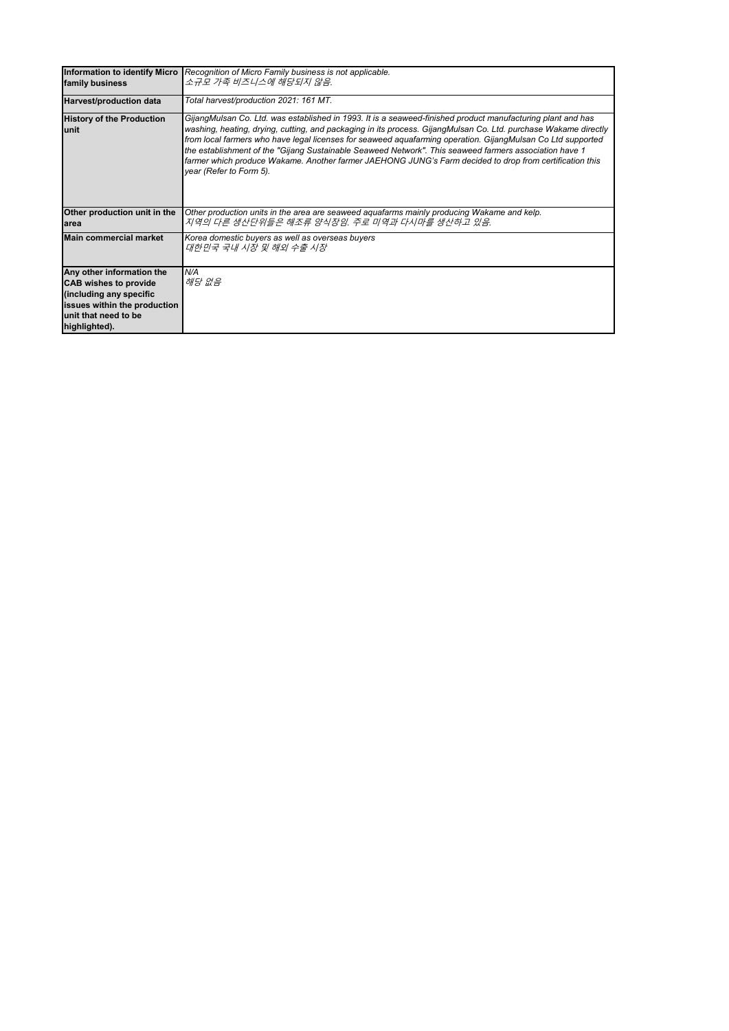| <b>Information to identify Micro</b><br>family business                                                                                                       | Recognition of Micro Family business is not applicable.<br>소규모 가족 비즈니스에 해당되지 않음.                                                                                                                                                                                                                                                                                                                                                                                                                                                                                                              |  |  |
|---------------------------------------------------------------------------------------------------------------------------------------------------------------|-----------------------------------------------------------------------------------------------------------------------------------------------------------------------------------------------------------------------------------------------------------------------------------------------------------------------------------------------------------------------------------------------------------------------------------------------------------------------------------------------------------------------------------------------------------------------------------------------|--|--|
| Harvest/production data                                                                                                                                       | Total harvest/production 2021: 161 MT.                                                                                                                                                                                                                                                                                                                                                                                                                                                                                                                                                        |  |  |
| <b>History of the Production</b><br>lunit                                                                                                                     | GijangMulsan Co. Ltd. was established in 1993. It is a seaweed-finished product manufacturing plant and has<br>washing, heating, drying, cutting, and packaging in its process. GijangMulsan Co. Ltd. purchase Wakame directly<br>from local farmers who have legal licenses for seaweed aguafarming operation. GijangMulsan Co Ltd supported<br>the establishment of the "Gijang Sustainable Seaweed Network". This seaweed farmers association have 1<br>farmer which produce Wakame. Another farmer JAEHONG JUNG's Farm decided to drop from certification this<br>year (Refer to Form 5). |  |  |
| Other production unit in the<br>larea                                                                                                                         | Other production units in the area are seaweed aquafarms mainly producing Wakame and kelp.<br>지역의 다른 생산단위들은 해조류 양식장임. 주로 미역과 다시마를 생산하고 있음.                                                                                                                                                                                                                                                                                                                                                                                                                                                    |  |  |
| <b>Main commercial market</b>                                                                                                                                 | Korea domestic buyers as well as overseas buyers<br>대한민국 국내 시장 및 해외 수출 시장                                                                                                                                                                                                                                                                                                                                                                                                                                                                                                                     |  |  |
| Any other information the<br><b>CAB wishes to provide</b><br>(including any specific<br>issues within the production<br>unit that need to be<br>highlighted). | N/A<br>해당 없음                                                                                                                                                                                                                                                                                                                                                                                                                                                                                                                                                                                  |  |  |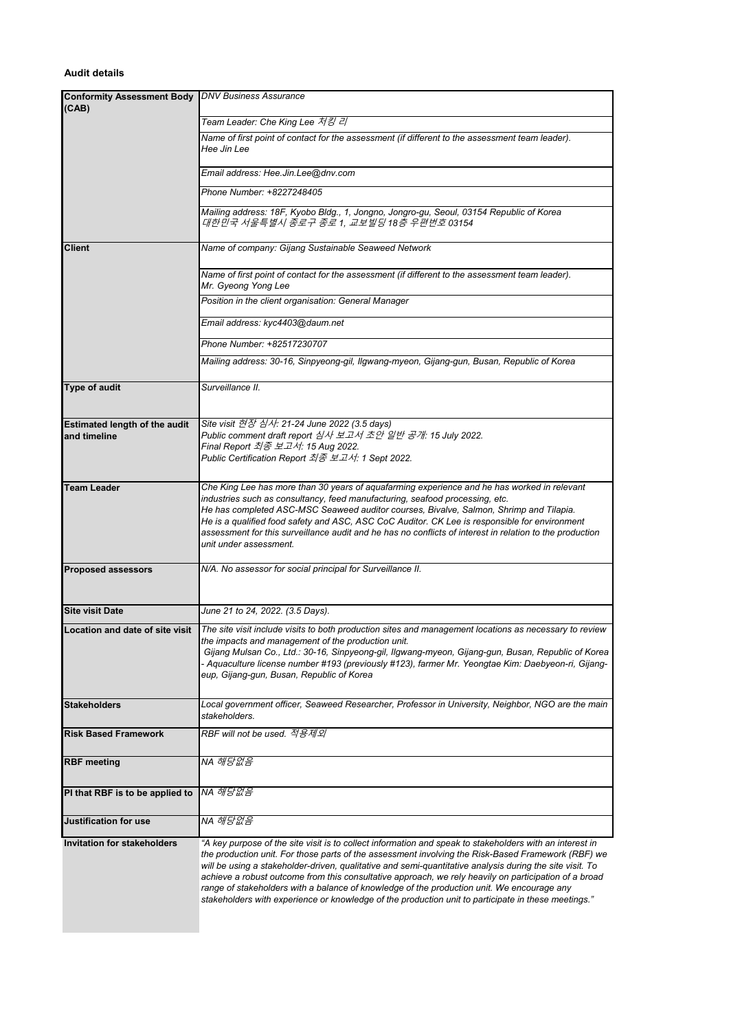# **Audit details**

| <b>Conformity Assessment Body DNV Business Assurance</b> |                                                                                                                                                                                                                                                                                                                                                                                                                                                                                                                                                                                                                                          |  |  |
|----------------------------------------------------------|------------------------------------------------------------------------------------------------------------------------------------------------------------------------------------------------------------------------------------------------------------------------------------------------------------------------------------------------------------------------------------------------------------------------------------------------------------------------------------------------------------------------------------------------------------------------------------------------------------------------------------------|--|--|
| (CAB)                                                    |                                                                                                                                                                                                                                                                                                                                                                                                                                                                                                                                                                                                                                          |  |  |
|                                                          | Team Leader: Che King Lee 처킹 리                                                                                                                                                                                                                                                                                                                                                                                                                                                                                                                                                                                                           |  |  |
|                                                          | Name of first point of contact for the assessment (if different to the assessment team leader).<br>Hee Jin Lee                                                                                                                                                                                                                                                                                                                                                                                                                                                                                                                           |  |  |
|                                                          | Email address: Hee.Jin.Lee@dnv.com                                                                                                                                                                                                                                                                                                                                                                                                                                                                                                                                                                                                       |  |  |
|                                                          | Phone Number: +8227248405                                                                                                                                                                                                                                                                                                                                                                                                                                                                                                                                                                                                                |  |  |
|                                                          | Mailing address: 18F, Kyobo Bldg., 1, Jongno, Jongro-gu, Seoul, 03154 Republic of Korea<br>대한민국 서울특별시 종로구 종로 1, 교보빌딩 18층 우편번호 03154                                                                                                                                                                                                                                                                                                                                                                                                                                                                                                      |  |  |
| <b>Client</b>                                            | Name of company: Gijang Sustainable Seaweed Network                                                                                                                                                                                                                                                                                                                                                                                                                                                                                                                                                                                      |  |  |
|                                                          | Name of first point of contact for the assessment (if different to the assessment team leader).<br>Mr. Gyeong Yong Lee                                                                                                                                                                                                                                                                                                                                                                                                                                                                                                                   |  |  |
|                                                          | Position in the client organisation: General Manager                                                                                                                                                                                                                                                                                                                                                                                                                                                                                                                                                                                     |  |  |
|                                                          | Email address: kyc4403@daum.net                                                                                                                                                                                                                                                                                                                                                                                                                                                                                                                                                                                                          |  |  |
|                                                          | Phone Number: +82517230707                                                                                                                                                                                                                                                                                                                                                                                                                                                                                                                                                                                                               |  |  |
|                                                          | Mailing address: 30-16, Sinpyeong-gil, Ilgwang-myeon, Gijang-gun, Busan, Republic of Korea                                                                                                                                                                                                                                                                                                                                                                                                                                                                                                                                               |  |  |
| Type of audit                                            | Surveillance II.                                                                                                                                                                                                                                                                                                                                                                                                                                                                                                                                                                                                                         |  |  |
| <b>Estimated length of the audit</b><br>and timeline     | Site visit 현장 심사: 21-24 June 2022 (3.5 days)<br>Public comment draft report 심사 보고서 초안 일반 공개: 15 July 2022.<br>Final Report 최종 보고서: 15 Aug 2022.<br>Public Certification Report 최종 보고서: 1 Sept 2022.                                                                                                                                                                                                                                                                                                                                                                                                                                      |  |  |
| Team Leader                                              | Che King Lee has more than 30 years of aquafarming experience and he has worked in relevant<br>industries such as consultancy, feed manufacturing, seafood processing, etc.<br>He has completed ASC-MSC Seaweed auditor courses, Bivalve, Salmon, Shrimp and Tilapia.<br>He is a qualified food safety and ASC, ASC CoC Auditor. CK Lee is responsible for environment<br>assessment for this surveillance audit and he has no conflicts of interest in relation to the production<br>unit under assessment.                                                                                                                             |  |  |
| <b>Proposed assessors</b>                                | N/A. No assessor for social principal for Surveillance II.                                                                                                                                                                                                                                                                                                                                                                                                                                                                                                                                                                               |  |  |
| <b>Site visit Date</b>                                   | June 21 to 24, 2022. (3.5 Days).                                                                                                                                                                                                                                                                                                                                                                                                                                                                                                                                                                                                         |  |  |
| Location and date of site visit                          | The site visit include visits to both production sites and management locations as necessary to review<br>the impacts and management of the production unit.<br>Gijang Mulsan Co., Ltd.: 30-16, Sinpyeong-gil, Ilgwang-myeon, Gijang-gun, Busan, Republic of Korea<br>- Aquaculture license number #193 (previously #123), farmer Mr. Yeongtae Kim: Daebyeon-ri, Gijang-<br>eup, Gijang-gun, Busan, Republic of Korea                                                                                                                                                                                                                    |  |  |
| <b>Stakeholders</b>                                      | Local government officer, Seaweed Researcher, Professor in University, Neighbor, NGO are the main<br>stakeholders.                                                                                                                                                                                                                                                                                                                                                                                                                                                                                                                       |  |  |
| <b>Risk Based Framework</b>                              | RBF will not be used. <i>적용제외</i>                                                                                                                                                                                                                                                                                                                                                                                                                                                                                                                                                                                                        |  |  |
| <b>RBF</b> meeting                                       | NA 해당없음                                                                                                                                                                                                                                                                                                                                                                                                                                                                                                                                                                                                                                  |  |  |
| PI that RBF is to be applied to                          | NA 해당없음                                                                                                                                                                                                                                                                                                                                                                                                                                                                                                                                                                                                                                  |  |  |
| Justification for use                                    | NA 해당없음                                                                                                                                                                                                                                                                                                                                                                                                                                                                                                                                                                                                                                  |  |  |
| <b>Invitation for stakeholders</b>                       | "A key purpose of the site visit is to collect information and speak to stakeholders with an interest in<br>the production unit. For those parts of the assessment involving the Risk-Based Framework (RBF) we<br>will be using a stakeholder-driven, qualitative and semi-quantitative analysis during the site visit. To<br>achieve a robust outcome from this consultative approach, we rely heavily on participation of a broad<br>range of stakeholders with a balance of knowledge of the production unit. We encourage any<br>stakeholders with experience or knowledge of the production unit to participate in these meetings." |  |  |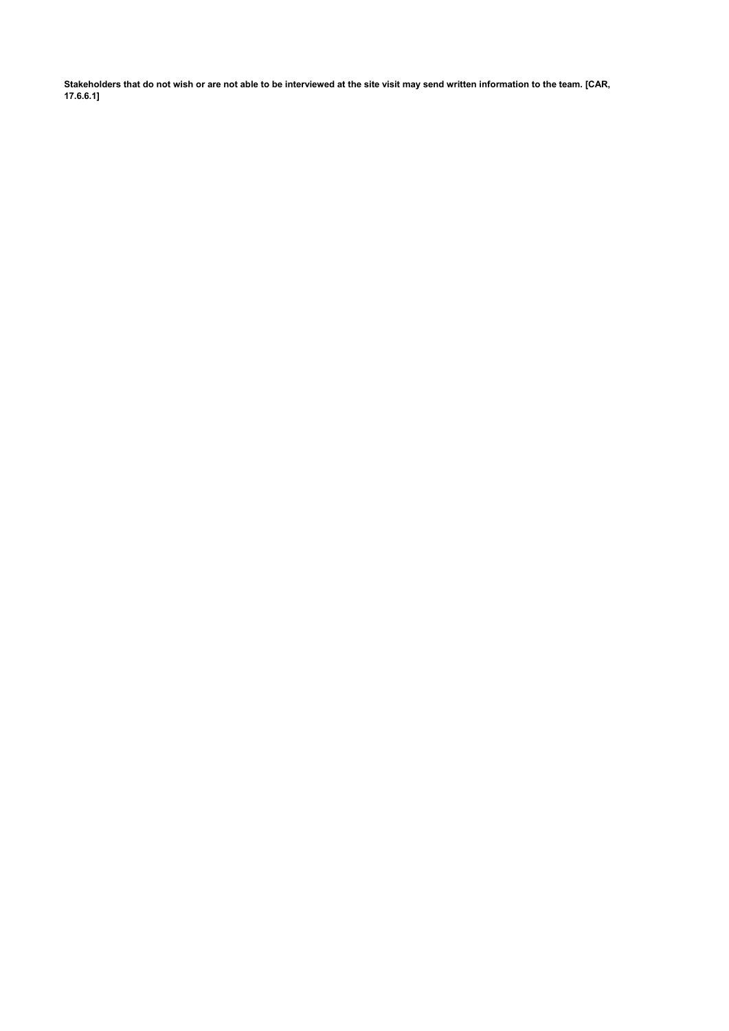**Stakeholders that do not wish or are not able to be interviewed at the site visit may send written information to the team. [CAR, 17.6.6.1]**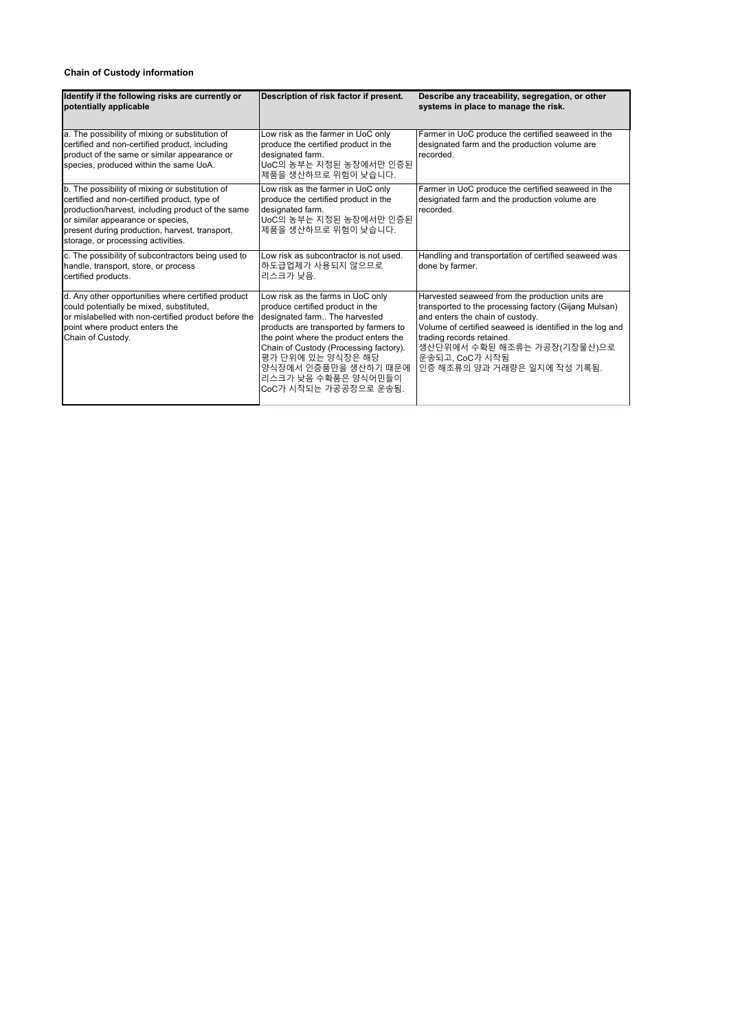# **Chain of Custody information**

l,

| Identify if the following risks are currently or<br>potentially applicable                                                                                                                                                                                                        | Description of risk factor if present.                                                                                                                                                                                                                                                                                            | Describe any traceability, segregation, or other<br>systems in place to manage the risk.                                                                                                                                                                                                                              |
|-----------------------------------------------------------------------------------------------------------------------------------------------------------------------------------------------------------------------------------------------------------------------------------|-----------------------------------------------------------------------------------------------------------------------------------------------------------------------------------------------------------------------------------------------------------------------------------------------------------------------------------|-----------------------------------------------------------------------------------------------------------------------------------------------------------------------------------------------------------------------------------------------------------------------------------------------------------------------|
| a. The possibility of mixing or substitution of<br>certified and non-certified product, including<br>product of the same or similar appearance or<br>species, produced within the same UoA.                                                                                       | Low risk as the farmer in UoC only<br>produce the certified product in the<br>designated farm.<br>UoC의 농부는 지정된 농장에서만 인증된<br>제품을 생산하므로 위험이 낮습니다.                                                                                                                                                                                   | Farmer in UoC produce the certified seaweed in the<br>designated farm and the production volume are<br>recorded.                                                                                                                                                                                                      |
| b. The possibility of mixing or substitution of<br>certified and non-certified product, type of<br>production/harvest, including product of the same<br>or similar appearance or species,<br>present during production, harvest, transport,<br>storage, or processing activities. | Low risk as the farmer in UoC only<br>produce the certified product in the<br>designated farm.<br>UoC의 농부는 지정된 농장에서만 인증된<br>제품을 생산하므로 위험이 낮습니다.                                                                                                                                                                                   | Farmer in UoC produce the certified seaweed in the<br>designated farm and the production volume are<br>recorded                                                                                                                                                                                                       |
| c. The possibility of subcontractors being used to<br>handle, transport, store, or process<br>certified products.                                                                                                                                                                 | Low risk as subcontractor is not used.<br>하도급업체가 사용되지 않으므로<br>리스크가 낮음.                                                                                                                                                                                                                                                            | Handling and transportation of certified seaweed was<br>done by farmer.                                                                                                                                                                                                                                               |
| d. Any other opportunities where certified product<br>could potentially be mixed, substituted,<br>or mislabelled with non-certified product before the<br>point where product enters the<br>Chain of Custody.                                                                     | Low risk as the farms in UoC only<br>produce certified product in the<br>designated farm The harvested<br>products are transported by farmers to<br>the point where the product enters the<br>Chain of Custody (Processing factory).<br>평가 단위에 있는 양식장은 해당<br>양식장에서 인증품만을 생산하기 때문에<br>리스크가 낮음 수확품은 양식어민들이<br>CoC가 시작되는 가공공장으로 운송됨. | Harvested seaweed from the production units are<br>transported to the processing factory (Gijang Mulsan)<br>and enters the chain of custody.<br>Volume of certified seaweed is identified in the log and<br>trading records retained.<br>생산단위에서 수확된 해조류는 가공장(기장물산)으로<br>운송되고, CoC가 시작됨<br>인증 해조류의 양과 거래량은 일지에 작성 기록됨. |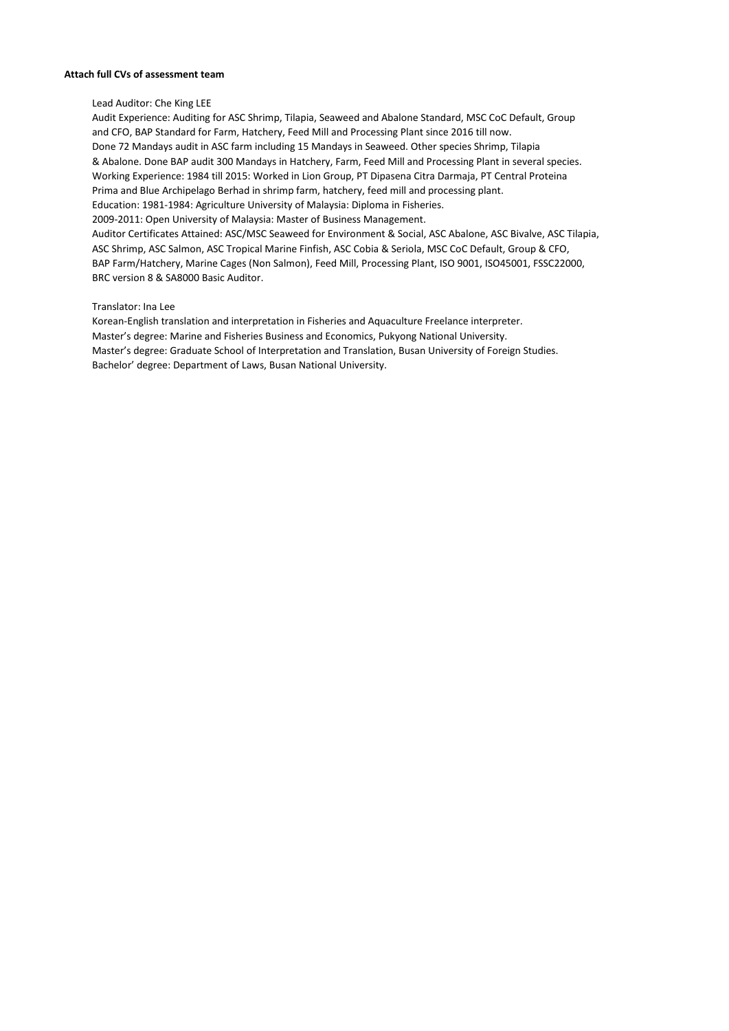# **Attach full CVs of assessment team**

# Lead Auditor: Che King LEE

Audit Experience: Auditing for ASC Shrimp, Tilapia, Seaweed and Abalone Standard, MSC CoC Default, Group and CFO, BAP Standard for Farm, Hatchery, Feed Mill and Processing Plant since 2016 till now. Done 72 Mandays audit in ASC farm including 15 Mandays in Seaweed. Other species Shrimp, Tilapia & Abalone. Done BAP audit 300 Mandays in Hatchery, Farm, Feed Mill and Processing Plant in several species. Working Experience: 1984 till 2015: Worked in Lion Group, PT Dipasena Citra Darmaja, PT Central Proteina Prima and Blue Archipelago Berhad in shrimp farm, hatchery, feed mill and processing plant. Education: 1981-1984: Agriculture University of Malaysia: Diploma in Fisheries. 2009-2011: Open University of Malaysia: Master of Business Management.

Auditor Certificates Attained: ASC/MSC Seaweed for Environment & Social, ASC Abalone, ASC Bivalve, ASC Tilapia, ASC Shrimp, ASC Salmon, ASC Tropical Marine Finfish, ASC Cobia & Seriola, MSC CoC Default, Group & CFO, BAP Farm/Hatchery, Marine Cages (Non Salmon), Feed Mill, Processing Plant, ISO 9001, ISO45001, FSSC22000, BRC version 8 & SA8000 Basic Auditor.

# Translator: Ina Lee

Korean-English translation and interpretation in Fisheries and Aquaculture Freelance interpreter. Master's degree: Marine and Fisheries Business and Economics, Pukyong National University. Master's degree: Graduate School of Interpretation and Translation, Busan University of Foreign Studies. Bachelor' degree: Department of Laws, Busan National University.